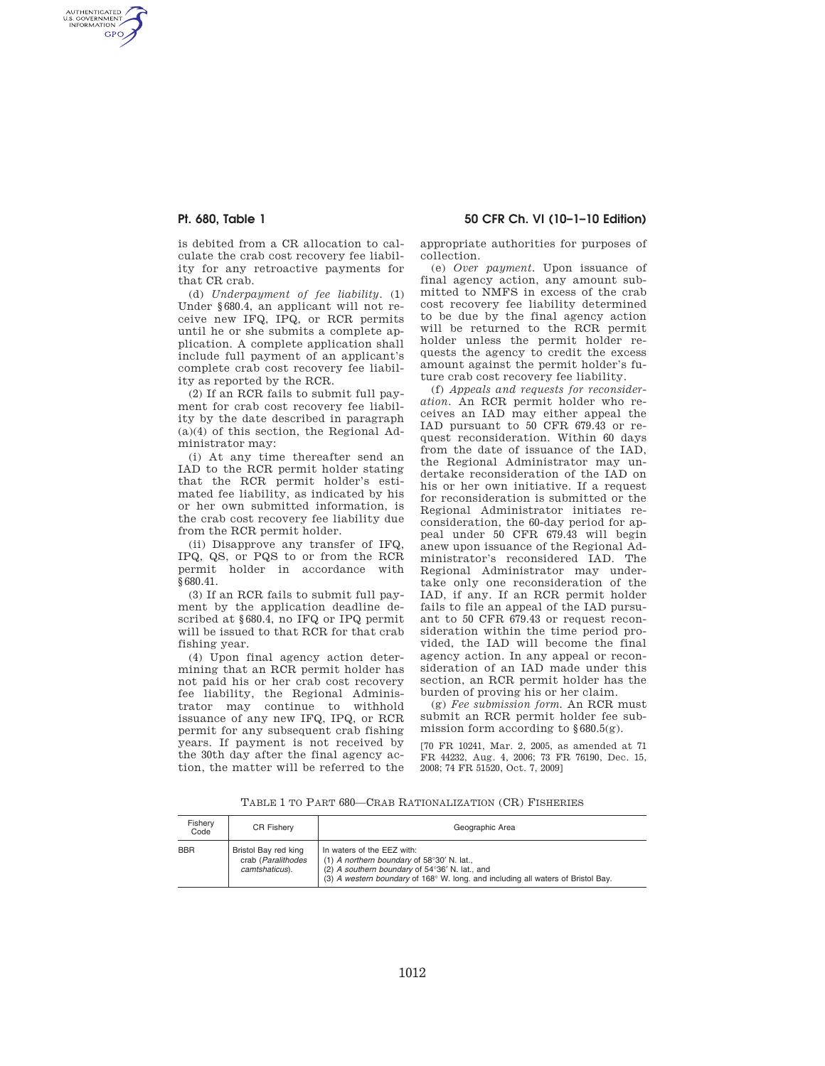AUTHENTICATED<br>U.S. GOVERNMENT<br>INFORMATION GPO

**Pt. 680, Table 1 50 CFR Ch. VI (10–1–10 Edition)** 

is debited from a CR allocation to calculate the crab cost recovery fee liability for any retroactive payments for that CR crab.

(d) *Underpayment of fee liability.* (1) Under §680.4, an applicant will not receive new IFQ, IPQ, or RCR permits until he or she submits a complete application. A complete application shall include full payment of an applicant's complete crab cost recovery fee liability as reported by the RCR.

(2) If an RCR fails to submit full payment for crab cost recovery fee liability by the date described in paragraph (a)(4) of this section, the Regional Administrator may:

(i) At any time thereafter send an IAD to the RCR permit holder stating that the RCR permit holder's estimated fee liability, as indicated by his or her own submitted information, is the crab cost recovery fee liability due from the RCR permit holder.

(ii) Disapprove any transfer of IFQ, IPQ, QS, or PQS to or from the RCR permit holder in accordance with §680.41.

(3) If an RCR fails to submit full payment by the application deadline described at §680.4, no IFQ or IPQ permit will be issued to that RCR for that crab fishing year.

(4) Upon final agency action determining that an RCR permit holder has not paid his or her crab cost recovery fee liability, the Regional Administrator may continue to withhold issuance of any new IFQ, IPQ, or RCR permit for any subsequent crab fishing years. If payment is not received by the 30th day after the final agency action, the matter will be referred to the appropriate authorities for purposes of collection.

(e) *Over payment.* Upon issuance of final agency action, any amount submitted to NMFS in excess of the crab cost recovery fee liability determined to be due by the final agency action will be returned to the RCR permit holder unless the permit holder requests the agency to credit the excess amount against the permit holder's future crab cost recovery fee liability.

(f) *Appeals and requests for reconsideration.* An RCR permit holder who receives an IAD may either appeal the IAD pursuant to 50 CFR 679.43 or request reconsideration. Within 60 days from the date of issuance of the IAD, the Regional Administrator may undertake reconsideration of the IAD on his or her own initiative. If a request for reconsideration is submitted or the Regional Administrator initiates reconsideration, the 60-day period for appeal under 50 CFR 679.43 will begin anew upon issuance of the Regional Administrator's reconsidered IAD. The Regional Administrator may undertake only one reconsideration of the IAD, if any. If an RCR permit holder fails to file an appeal of the IAD pursuant to 50 CFR 679.43 or request reconsideration within the time period provided, the IAD will become the final agency action. In any appeal or reconsideration of an IAD made under this section, an RCR permit holder has the burden of proving his or her claim.

(g) *Fee submission form.* An RCR must submit an RCR permit holder fee submission form according to  $§680.5(g)$ .

[70 FR 10241, Mar. 2, 2005, as amended at 71 FR 44232, Aug. 4, 2006; 73 FR 76190, Dec. 15, 2008; 74 FR 51520, Oct. 7, 2009]

TABLE 1 TO PART 680—CRAB RATIONALIZATION (CR) FISHERIES

| Fisherv<br>Code | <b>CR Fisherv</b>                                            | Geographic Area                                                                                                                                                                                                         |
|-----------------|--------------------------------------------------------------|-------------------------------------------------------------------------------------------------------------------------------------------------------------------------------------------------------------------------|
| <b>BBR</b>      | Bristol Bay red king<br>crab (Paralithodes<br>camtshaticus). | In waters of the EEZ with:<br>(1) A northern boundary of $58^{\circ}30'$ N. lat.,<br>(2) A southern boundary of 54°36' N. lat., and<br>(3) A western boundary of 168° W. long. and including all waters of Bristol Bay. |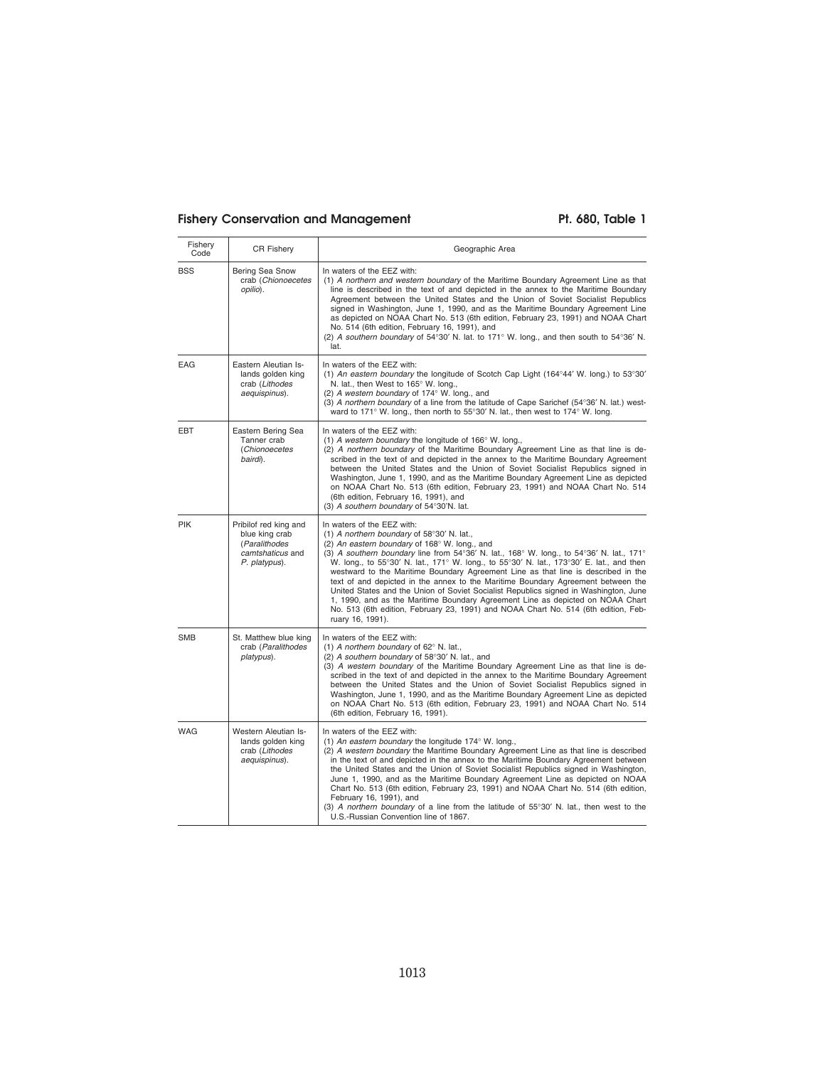# Fishery Conservation and Management Pt. 680, Table 1

| Fishery<br>Code | <b>CR Fishery</b>                                                                             | Geographic Area                                                                                                                                                                                                                                                                                                                                                                                                                                                                                                                                                                                                                                                                                                                                                                |
|-----------------|-----------------------------------------------------------------------------------------------|--------------------------------------------------------------------------------------------------------------------------------------------------------------------------------------------------------------------------------------------------------------------------------------------------------------------------------------------------------------------------------------------------------------------------------------------------------------------------------------------------------------------------------------------------------------------------------------------------------------------------------------------------------------------------------------------------------------------------------------------------------------------------------|
| <b>BSS</b>      | Bering Sea Snow<br>crab (Chionoecetes<br>opilio).                                             | In waters of the EEZ with:<br>(1) A northern and western boundary of the Maritime Boundary Agreement Line as that<br>line is described in the text of and depicted in the annex to the Maritime Boundary<br>Agreement between the United States and the Union of Soviet Socialist Republics<br>signed in Washington, June 1, 1990, and as the Maritime Boundary Agreement Line<br>as depicted on NOAA Chart No. 513 (6th edition, February 23, 1991) and NOAA Chart<br>No. 514 (6th edition, February 16, 1991), and<br>(2) A southern boundary of $54^{\circ}30'$ N. lat. to 171° W. long., and then south to $54^{\circ}36'$ N.<br>lat.                                                                                                                                      |
| <b>EAG</b>      | Eastern Aleutian Is-<br>lands golden king<br>crab (Lithodes<br>aequispinus).                  | In waters of the EEZ with:<br>(1) An eastern boundary the longitude of Scotch Cap Light (164°44' W. long.) to 53°30'<br>N. lat., then West to 165° W. long.,<br>(2) A western boundary of 174° W. long., and<br>(3) A northern boundary of a line from the latitude of Cape Sarichef (54°36' N. lat.) west-<br>ward to 171° W. long., then north to 55°30' N. lat., then west to 174° W. long.                                                                                                                                                                                                                                                                                                                                                                                 |
| EBT             | Eastern Bering Sea<br>Tanner crab<br>(Chionoecetes<br>bairdi).                                | In waters of the EEZ with:<br>(1) A western boundary the longitude of $166^{\circ}$ W. long.,<br>(2) A northern boundary of the Maritime Boundary Agreement Line as that line is de-<br>scribed in the text of and depicted in the annex to the Maritime Boundary Agreement<br>between the United States and the Union of Soviet Socialist Republics signed in<br>Washington, June 1, 1990, and as the Maritime Boundary Agreement Line as depicted<br>on NOAA Chart No. 513 (6th edition, February 23, 1991) and NOAA Chart No. 514<br>(6th edition, February 16, 1991), and<br>(3) A southern boundary of 54°30'N. lat.                                                                                                                                                      |
| PIK             | Pribilof red king and<br>blue king crab<br>(Paralithodes<br>camtshaticus and<br>P. platypus). | In waters of the EEZ with:<br>(1) A northern boundary of 58°30' N. lat.,<br>(2) An eastern boundary of 168° W. long., and<br>(3) A southern boundary line from 54°36' N. lat., 168° W. long., to 54°36' N. lat., 171°<br>W. long., to 55°30' N. lat., 171° W. long., to 55°30' N. lat., 173°30' E. lat., and then<br>westward to the Maritime Boundary Agreement Line as that line is described in the<br>text of and depicted in the annex to the Maritime Boundary Agreement between the<br>United States and the Union of Soviet Socialist Republics signed in Washington, June<br>1, 1990, and as the Maritime Boundary Agreement Line as depicted on NOAA Chart<br>No. 513 (6th edition, February 23, 1991) and NOAA Chart No. 514 (6th edition, Feb-<br>ruary 16, 1991). |
| <b>SMB</b>      | St. Matthew blue king<br>crab (Paralithodes<br>platypus).                                     | In waters of the EEZ with:<br>(1) A northern boundary of 62° N. lat.,<br>(2) A southern boundary of 58°30' N. lat., and<br>(3) A western boundary of the Maritime Boundary Agreement Line as that line is de-<br>scribed in the text of and depicted in the annex to the Maritime Boundary Agreement<br>between the United States and the Union of Soviet Socialist Republics signed in<br>Washington, June 1, 1990, and as the Maritime Boundary Agreement Line as depicted<br>on NOAA Chart No. 513 (6th edition, February 23, 1991) and NOAA Chart No. 514<br>(6th edition, February 16, 1991).                                                                                                                                                                             |
| <b>WAG</b>      | Western Aleutian Is-<br>lands golden king<br>crab (Lithodes<br>aequispinus).                  | In waters of the EEZ with:<br>(1) An eastern boundary the longitude 174° W. long.,<br>(2) A western boundary the Maritime Boundary Agreement Line as that line is described<br>in the text of and depicted in the annex to the Maritime Boundary Agreement between<br>the United States and the Union of Soviet Socialist Republics signed in Washington,<br>June 1, 1990, and as the Maritime Boundary Agreement Line as depicted on NOAA<br>Chart No. 513 (6th edition, February 23, 1991) and NOAA Chart No. 514 (6th edition,<br>February 16, 1991), and<br>(3) A northern boundary of a line from the latitude of $55^{\circ}30'$ N. lat., then west to the<br>U.S.-Russian Convention line of 1867.                                                                      |